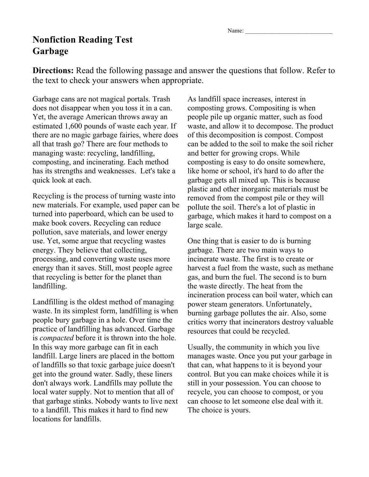Name:

## **Nonfiction Reading Test Garbage**

**Directions:** Read the following passage and answer the questions that follow. Refer to the text to check your answers when appropriate.

Garbage cans are not magical portals. Trash does not disappear when you toss it in a can. Yet, the average American throws away an estimated 1,600 pounds of waste each year. If there are no magic garbage fairies, where does all that trash go? There are four methods to managing waste: recycling, landfilling, composting, and incinerating. Each method has its strengths and weaknesses. Let's take a quick look at each.

Recycling is the process of turning waste into new materials. For example, used paper can be turned into paperboard, which can be used to make book covers. Recycling can reduce pollution, save materials, and lower energy use. Yet, some argue that recycling wastes energy. They believe that collecting, processing, and converting waste uses more energy than it saves. Still, most people agree that recycling is better for the planet than landfilling.

Landfilling is the oldest method of managing waste. In its simplest form, landfilling is when people bury garbage in a hole. Over time the practice of landfilling has advanced. Garbage is *compacted* before it is thrown into the hole. In this way more garbage can fit in each landfill. Large liners are placed in the bottom of landfills so that toxic garbage juice doesn't get into the ground water. Sadly, these liners don't always work. Landfills may pollute the local water supply. Not to mention that all of that garbage stinks. Nobody wants to live next to a landfill. This makes it hard to find new locations for landfills.

As landfill space increases, interest in composting grows. Compositing is when people pile up organic matter, such as food waste, and allow it to decompose. The product of this decomposition is compost. Compost can be added to the soil to make the soil richer and better for growing crops. While composting is easy to do onsite somewhere, like home or school, it's hard to do after the garbage gets all mixed up. This is because plastic and other inorganic materials must be removed from the compost pile or they will pollute the soil. There's a lot of plastic in garbage, which makes it hard to compost on a large scale.

One thing that is easier to do is burning garbage. There are two main ways to incinerate waste. The first is to create or harvest a fuel from the waste, such as methane gas, and burn the fuel. The second is to burn the waste directly. The heat from the incineration process can boil water, which can power steam generators. Unfortunately, burning garbage pollutes the air. Also, some critics worry that incinerators destroy valuable resources that could be recycled.

Usually, the community in which you live manages waste. Once you put your garbage in that can, what happens to it is beyond your control. But you can make choices while it is still in your possession. You can choose to recycle, you can choose to compost, or you can choose to let someone else deal with it. The choice is yours.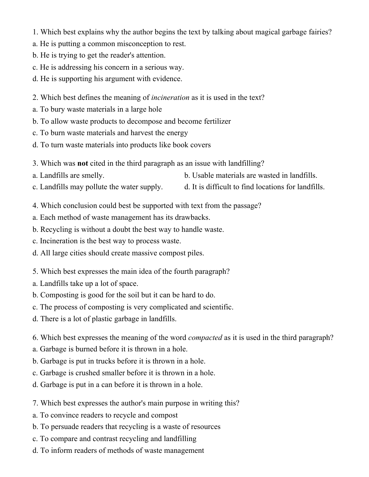1. Which best explains why the author begins the text by talking about magical garbage fairies?

- a. He is putting a common misconception to rest.
- b. He is trying to get the reader's attention.
- c. He is addressing his concern in a serious way.
- d. He is supporting his argument with evidence.
- 2. Which best defines the meaning of *incineration* as it is used in the text?
- a. To bury waste materials in a large hole
- b. To allow waste products to decompose and become fertilizer
- c. To burn waste materials and harvest the energy
- d. To turn waste materials into products like book covers
- 3. Which was **not** cited in the third paragraph as an issue with landfilling?
- a. Landfills are smelly. b. Usable materials are wasted in landfills.
- c. Landfills may pollute the water supply. d. It is difficult to find locations for landfills.
- 4. Which conclusion could best be supported with text from the passage?
- a. Each method of waste management has its drawbacks.
- b. Recycling is without a doubt the best way to handle waste.
- c. Incineration is the best way to process waste.
- d. All large cities should create massive compost piles.
- 5. Which best expresses the main idea of the fourth paragraph?
- a. Landfills take up a lot of space.
- b. Composting is good for the soil but it can be hard to do.
- c. The process of composting is very complicated and scientific.
- d. There is a lot of plastic garbage in landfills.
- 6. Which best expresses the meaning of the word *compacted* as it is used in the third paragraph?
- a. Garbage is burned before it is thrown in a hole.
- b. Garbage is put in trucks before it is thrown in a hole.
- c. Garbage is crushed smaller before it is thrown in a hole.
- d. Garbage is put in a can before it is thrown in a hole.
- 7. Which best expresses the author's main purpose in writing this?
- a. To convince readers to recycle and compost
- b. To persuade readers that recycling is a waste of resources
- c. To compare and contrast recycling and landfilling
- d. To inform readers of methods of waste management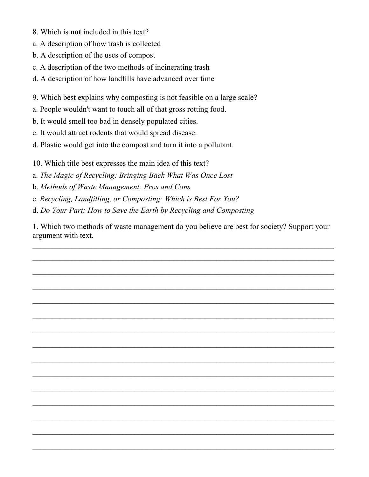- 8. Which is **not** included in this text?
- a. A description of how trash is collected
- b. A description of the uses of compost
- c. A description of the two methods of incinerating trash
- d. A description of how landfills have advanced over time
- 9. Which best explains why composting is not feasible on a large scale?
- a. People wouldn't want to touch all of that gross rotting food.
- b. It would smell too bad in densely populated cities.
- c. It would attract rodents that would spread disease.
- d. Plastic would get into the compost and turn it into a pollutant.
- 10. Which title best expresses the main idea of this text?
- a. *The Magic of Recycling: Bringing Back What Was Once Lost*
- b. *Methods of Waste Management: Pros and Cons*
- c. *Recycling, Landfilling, or Composting: Which is Best For You?*
- d. *Do Your Part: How to Save the Earth by Recycling and Composting*

1. Which two methods of waste management do you believe are best for society? Support your argument with text.

 $\mathcal{L}_\text{max} = \mathcal{L}_\text{max} = \mathcal{L}_\text{max} = \mathcal{L}_\text{max} = \mathcal{L}_\text{max} = \mathcal{L}_\text{max} = \mathcal{L}_\text{max} = \mathcal{L}_\text{max} = \mathcal{L}_\text{max} = \mathcal{L}_\text{max} = \mathcal{L}_\text{max} = \mathcal{L}_\text{max} = \mathcal{L}_\text{max} = \mathcal{L}_\text{max} = \mathcal{L}_\text{max} = \mathcal{L}_\text{max} = \mathcal{L}_\text{max} = \mathcal{L}_\text{max} = \mathcal{$ 

 $\mathcal{L}_\text{max} = \mathcal{L}_\text{max} = \mathcal{L}_\text{max} = \mathcal{L}_\text{max} = \mathcal{L}_\text{max} = \mathcal{L}_\text{max} = \mathcal{L}_\text{max} = \mathcal{L}_\text{max} = \mathcal{L}_\text{max} = \mathcal{L}_\text{max} = \mathcal{L}_\text{max} = \mathcal{L}_\text{max} = \mathcal{L}_\text{max} = \mathcal{L}_\text{max} = \mathcal{L}_\text{max} = \mathcal{L}_\text{max} = \mathcal{L}_\text{max} = \mathcal{L}_\text{max} = \mathcal{$ 

 $\mathcal{L}_\text{max} = \mathcal{L}_\text{max} = \mathcal{L}_\text{max} = \mathcal{L}_\text{max} = \mathcal{L}_\text{max} = \mathcal{L}_\text{max} = \mathcal{L}_\text{max} = \mathcal{L}_\text{max} = \mathcal{L}_\text{max} = \mathcal{L}_\text{max} = \mathcal{L}_\text{max} = \mathcal{L}_\text{max} = \mathcal{L}_\text{max} = \mathcal{L}_\text{max} = \mathcal{L}_\text{max} = \mathcal{L}_\text{max} = \mathcal{L}_\text{max} = \mathcal{L}_\text{max} = \mathcal{$ 

 $\mathcal{L}_\text{max} = \mathcal{L}_\text{max} = \mathcal{L}_\text{max} = \mathcal{L}_\text{max} = \mathcal{L}_\text{max} = \mathcal{L}_\text{max} = \mathcal{L}_\text{max} = \mathcal{L}_\text{max} = \mathcal{L}_\text{max} = \mathcal{L}_\text{max} = \mathcal{L}_\text{max} = \mathcal{L}_\text{max} = \mathcal{L}_\text{max} = \mathcal{L}_\text{max} = \mathcal{L}_\text{max} = \mathcal{L}_\text{max} = \mathcal{L}_\text{max} = \mathcal{L}_\text{max} = \mathcal{$